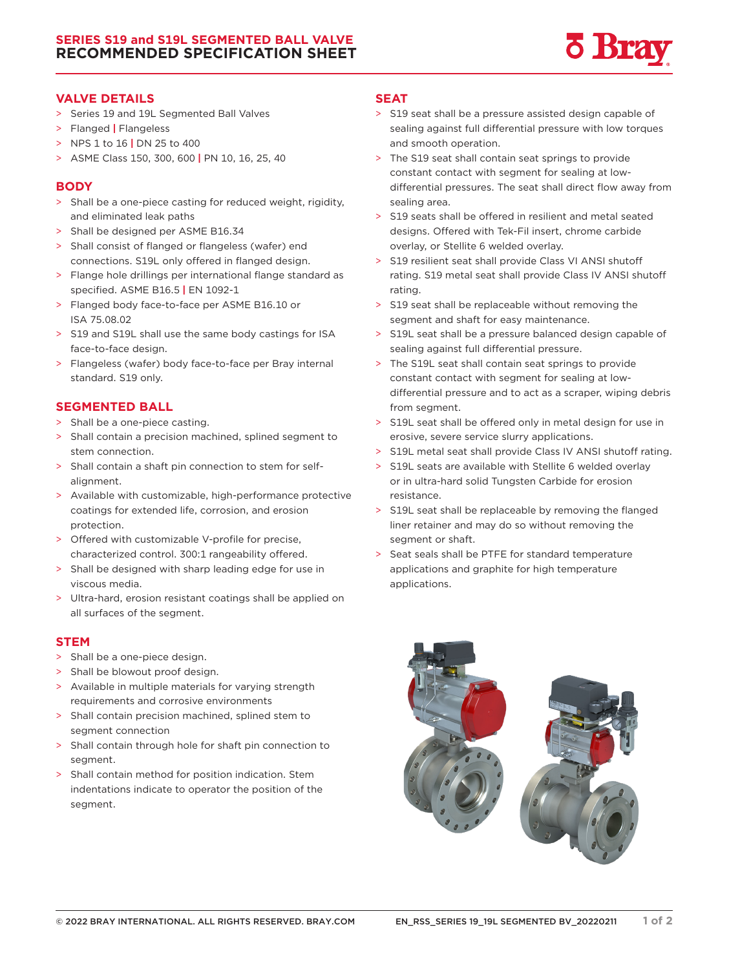

#### **VALVE DETAILS**

- > Series 19 and 19L Segmented Ball Valves
- > Flanged **|** Flangeless
- > NPS 1 to 16 **|** DN 25 to 400
- > ASME Class 150, 300, 600 **|** PN 10, 16, 25, 40

### **BODY**

- > Shall be a one-piece casting for reduced weight, rigidity, and eliminated leak paths
- > Shall be designed per ASME B16.34
- > Shall consist of flanged or flangeless (wafer) end connections. S19L only offered in flanged design.
- > Flange hole drillings per international flange standard as specified. ASME B16.5 **|** EN 1092-1
- > Flanged body face-to-face per ASME B16.10 or ISA 75.08.02
- > S19 and S19L shall use the same body castings for ISA face-to-face design.
- > Flangeless (wafer) body face-to-face per Bray internal standard. S19 only.

# **SEGMENTED BALL**

- > Shall be a one-piece casting.
- > Shall contain a precision machined, splined segment to stem connection.
- > Shall contain a shaft pin connection to stem for selfalignment.
- > Available with customizable, high-performance protective coatings for extended life, corrosion, and erosion protection.
- > Offered with customizable V-profile for precise, characterized control. 300:1 rangeability offered.
- > Shall be designed with sharp leading edge for use in viscous media.
- > Ultra-hard, erosion resistant coatings shall be applied on all surfaces of the segment.

# **STEM**

- > Shall be a one-piece design.
- > Shall be blowout proof design.
- > Available in multiple materials for varying strength requirements and corrosive environments
- > Shall contain precision machined, splined stem to segment connection
- > Shall contain through hole for shaft pin connection to segment.
- > Shall contain method for position indication. Stem indentations indicate to operator the position of the segment.

## **SEAT**

- > S19 seat shall be a pressure assisted design capable of sealing against full differential pressure with low torques and smooth operation.
- > The S19 seat shall contain seat springs to provide constant contact with segment for sealing at lowdifferential pressures. The seat shall direct flow away from sealing area.
- > S19 seats shall be offered in resilient and metal seated designs. Offered with Tek-Fil insert, chrome carbide overlay, or Stellite 6 welded overlay.
- > S19 resilient seat shall provide Class VI ANSI shutoff rating. S19 metal seat shall provide Class IV ANSI shutoff rating.
- > S19 seat shall be replaceable without removing the segment and shaft for easy maintenance.
- > S19L seat shall be a pressure balanced design capable of sealing against full differential pressure.
- > The S19L seat shall contain seat springs to provide constant contact with segment for sealing at lowdifferential pressure and to act as a scraper, wiping debris from segment.
- > S19L seat shall be offered only in metal design for use in erosive, severe service slurry applications.
- > S19L metal seat shall provide Class IV ANSI shutoff rating.
- > S19L seats are available with Stellite 6 welded overlay or in ultra-hard solid Tungsten Carbide for erosion resistance.
- > S19L seat shall be replaceable by removing the flanged liner retainer and may do so without removing the segment or shaft.
- > Seat seals shall be PTFE for standard temperature applications and graphite for high temperature applications.